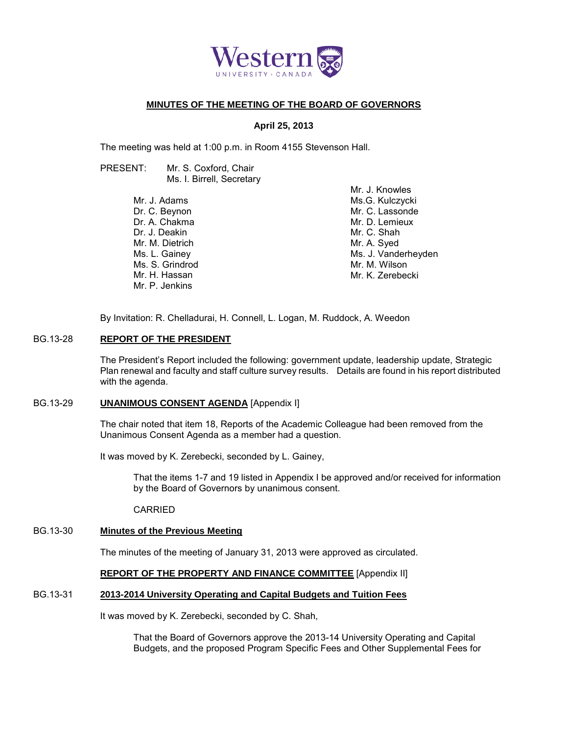

# **MINUTES OF THE MEETING OF THE BOARD OF GOVERNORS**

#### **April 25, 2013**

The meeting was held at 1:00 p.m. in Room 4155 Stevenson Hall.

PRESENT: Mr. S. Coxford, Chair Ms. I. Birrell, Secretary

> Mr. J. Adams Dr. C. Beynon Dr. A. Chakma Dr. J. Deakin Mr. M. Dietrich Ms. L. Gainey Ms. S. Grindrod Mr. H. Hassan Mr. P. Jenkins

Mr. J. Knowles Ms.G. Kulczycki Mr. C. Lassonde Mr. D. Lemieux Mr. C. Shah Mr. A. Syed Ms. J. Vanderheyden Mr. M. Wilson Mr. K. Zerebecki

By Invitation: R. Chelladurai, H. Connell, L. Logan, M. Ruddock, A. Weedon

#### BG.13-28 **REPORT OF THE PRESIDENT**

The President's Report included the following: government update, leadership update, Strategic Plan renewal and faculty and staff culture survey results. Details are found in his report distributed with the agenda.

# BG.13-29 **UNANIMOUS CONSENT AGENDA** [Appendix I]

The chair noted that item 18, Reports of the Academic Colleague had been removed from the Unanimous Consent Agenda as a member had a question.

It was moved by K. Zerebecki, seconded by L. Gainey,

That the items 1-7 and 19 listed in Appendix I be approved and/or received for information by the Board of Governors by unanimous consent.

CARRIED

# BG.13-30 **Minutes of the Previous Meeting**

The minutes of the meeting of January 31, 2013 were approved as circulated.

# **REPORT OF THE PROPERTY AND FINANCE COMMITTEE** [Appendix II]

# BG.13-31 **2013-2014 University Operating and Capital Budgets and Tuition Fees**

It was moved by K. Zerebecki, seconded by C. Shah,

That the Board of Governors approve the 2013-14 University Operating and Capital Budgets, and the proposed Program Specific Fees and Other Supplemental Fees for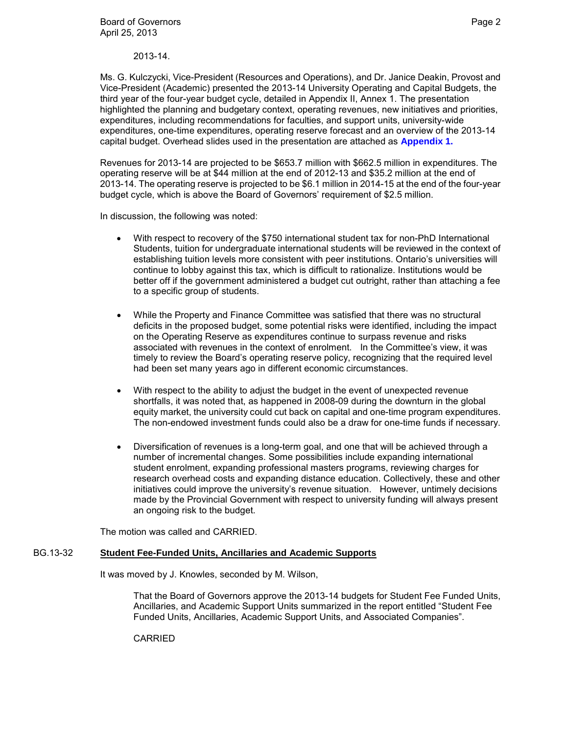Ms. G. Kulczycki, Vice-President (Resources and Operations), and Dr. Janice Deakin, Provost and Vice-President (Academic) presented the 2013-14 University Operating and Capital Budgets, the third year of the four-year budget cycle, detailed in Appendix II, Annex 1. The presentation highlighted the planning and budgetary context, operating revenues, new initiatives and priorities, expenditures, including recommendations for faculties, and support units, university-wide expenditures, one-time expenditures, operating reserve forecast and an overview of the 2013-14 capital budget. Overhead slides used in the presentation are attached as **[Appendix 1.](#page-6-0)**

Revenues for 2013-14 are projected to be \$653.7 million with \$662.5 million in expenditures. The operating reserve will be at \$44 million at the end of 2012-13 and \$35.2 million at the end of 2013-14. The operating reserve is projected to be \$6.1 million in 2014-15 at the end of the four-year budget cycle, which is above the Board of Governors' requirement of \$2.5 million.

In discussion, the following was noted:

- With respect to recovery of the \$750 international student tax for non-PhD International Students, tuition for undergraduate international students will be reviewed in the context of establishing tuition levels more consistent with peer institutions. Ontario's universities will continue to lobby against this tax, which is difficult to rationalize. Institutions would be better off if the government administered a budget cut outright, rather than attaching a fee to a specific group of students.
- While the Property and Finance Committee was satisfied that there was no structural deficits in the proposed budget, some potential risks were identified, including the impact on the Operating Reserve as expenditures continue to surpass revenue and risks associated with revenues in the context of enrolment. In the Committee's view, it was timely to review the Board's operating reserve policy, recognizing that the required level had been set many years ago in different economic circumstances.
- With respect to the ability to adjust the budget in the event of unexpected revenue shortfalls, it was noted that, as happened in 2008-09 during the downturn in the global equity market, the university could cut back on capital and one-time program expenditures. The non-endowed investment funds could also be a draw for one-time funds if necessary.
- Diversification of revenues is a long-term goal, and one that will be achieved through a number of incremental changes. Some possibilities include expanding international student enrolment, expanding professional masters programs, reviewing charges for research overhead costs and expanding distance education. Collectively, these and other initiatives could improve the university's revenue situation. However, untimely decisions made by the Provincial Government with respect to university funding will always present an ongoing risk to the budget.

The motion was called and CARRIED.

# BG.13-32 **Student Fee-Funded Units, Ancillaries and Academic Supports**

It was moved by J. Knowles, seconded by M. Wilson,

That the Board of Governors approve the 2013-14 budgets for Student Fee Funded Units, Ancillaries, and Academic Support Units summarized in the report entitled "Student Fee Funded Units, Ancillaries, Academic Support Units, and Associated Companies".

CARRIED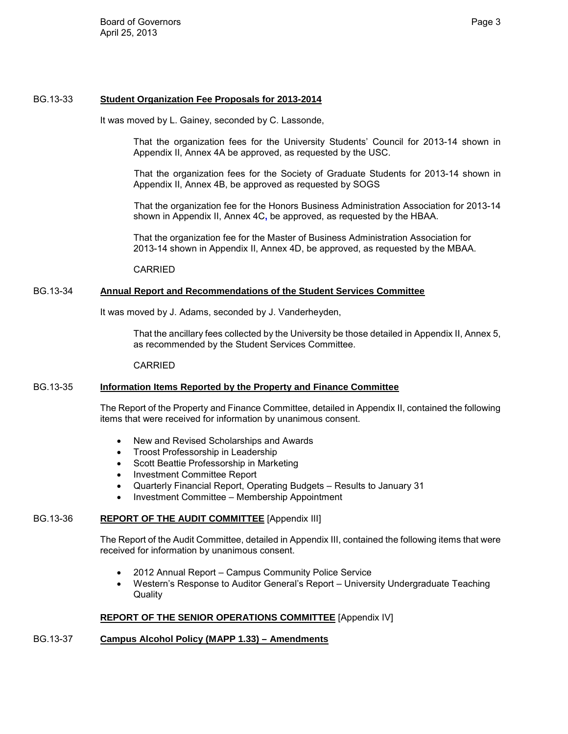#### BG.13-33 **Student Organization Fee Proposals for 2013-2014**

It was moved by L. Gainey, seconded by C. Lassonde,

That the organization fees for the University Students' Council for 2013-14 shown in Appendix II, Annex 4A be approved, as requested by the USC.

That the organization fees for the Society of Graduate Students for 2013-14 shown in Appendix II, Annex 4B, be approved as requested by SOGS

That the organization fee for the Honors Business Administration Association for 2013-14 shown in Appendix II, Annex 4C**,** be approved, as requested by the HBAA.

That the organization fee for the Master of Business Administration Association for 2013-14 shown in Appendix II, Annex 4D, be approved, as requested by the MBAA.

CARRIED

## BG.13-34 **Annual Report and Recommendations of the Student Services Committee**

It was moved by J. Adams, seconded by J. Vanderheyden,

That the ancillary fees collected by the University be those detailed in Appendix II, Annex 5, as recommended by the Student Services Committee.

CARRIED

#### BG.13-35 **Information Items Reported by the Property and Finance Committee**

The Report of the Property and Finance Committee, detailed in Appendix II, contained the following items that were received for information by unanimous consent.

- New and Revised Scholarships and Awards
- Troost Professorship in Leadership
- Scott Beattie Professorship in Marketing
- Investment Committee Report
- Quarterly Financial Report, Operating Budgets Results to January 31
- Investment Committee Membership Appointment

#### BG.13-36 **REPORT OF THE AUDIT COMMITTEE** [Appendix III]

The Report of the Audit Committee, detailed in Appendix III, contained the following items that were received for information by unanimous consent.

- 2012 Annual Report Campus Community Police Service
- Western's Response to Auditor General's Report University Undergraduate Teaching **Quality**

#### **REPORT OF THE SENIOR OPERATIONS COMMITTEE** [Appendix IV]

#### BG.13-37 **Campus Alcohol Policy (MAPP 1.33) – Amendments**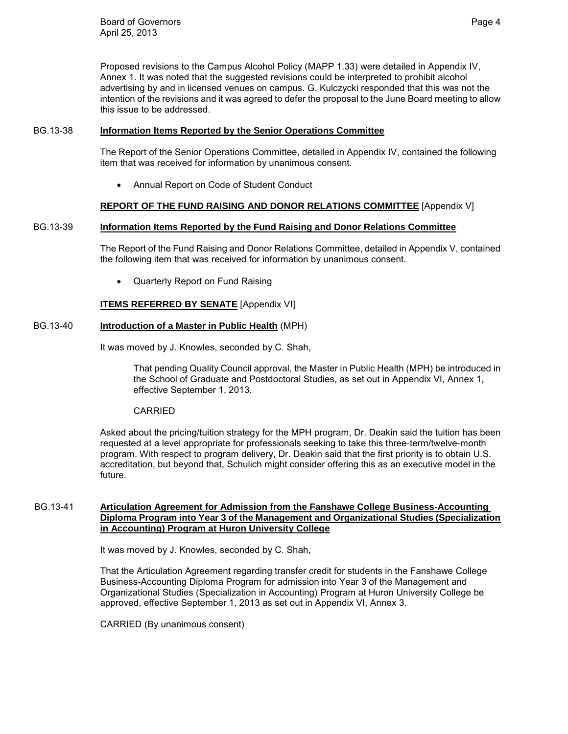Proposed revisions to the Campus Alcohol Policy (MAPP 1.33) were detailed in Appendix IV, Annex 1. It was noted that the suggested revisions could be interpreted to prohibit alcohol advertising by and in licensed venues on campus. G. Kulczycki responded that this was not the intention of the revisions and it was agreed to defer the proposal to the June Board meeting to allow this issue to be addressed.

# BG.13-38 **Information Items Reported by the Senior Operations Committee**

The Report of the Senior Operations Committee, detailed in Appendix IV, contained the following item that was received for information by unanimous consent.

• Annual Report on Code of Student Conduct

# **REPORT OF THE FUND RAISING AND DONOR RELATIONS COMMITTEE** [Appendix V]

# BG.13-39 **Information Items Reported by the Fund Raising and Donor Relations Committee**

The Report of the Fund Raising and Donor Relations Committee, detailed in Appendix V, contained the following item that was received for information by unanimous consent.

• Quarterly Report on Fund Raising

# **ITEMS REFERRED BY SENATE** [Appendix VI]

# BG.13-40 **Introduction of a Master in Public Health** (MPH)

It was moved by J. Knowles, seconded by C. Shah,

That pending Quality Council approval, the Master in Public Health (MPH) be introduced in the School of Graduate and Postdoctoral Studies, as set out in Appendix VI, Annex 1**,**  effective September 1, 2013.

#### CARRIED

Asked about the pricing/tuition strategy for the MPH program, Dr. Deakin said the tuition has been requested at a level appropriate for professionals seeking to take this three-term/twelve-month program. With respect to program delivery, Dr. Deakin said that the first priority is to obtain U.S. accreditation, but beyond that, Schulich might consider offering this as an executive model in the future.

#### BG.13-41 **Articulation Agreement for Admission from the Fanshawe College Business-Accounting Diploma Program into Year 3 of the Management and Organizational Studies (Specialization in Accounting) Program at Huron University College**

It was moved by J. Knowles, seconded by C. Shah,

That the Articulation Agreement regarding transfer credit for students in the Fanshawe College Business-Accounting Diploma Program for admission into Year 3 of the Management and Organizational Studies (Specialization in Accounting) Program at Huron University College be approved, effective September 1, 2013 as set out in Appendix VI, Annex 3.

CARRIED (By unanimous consent)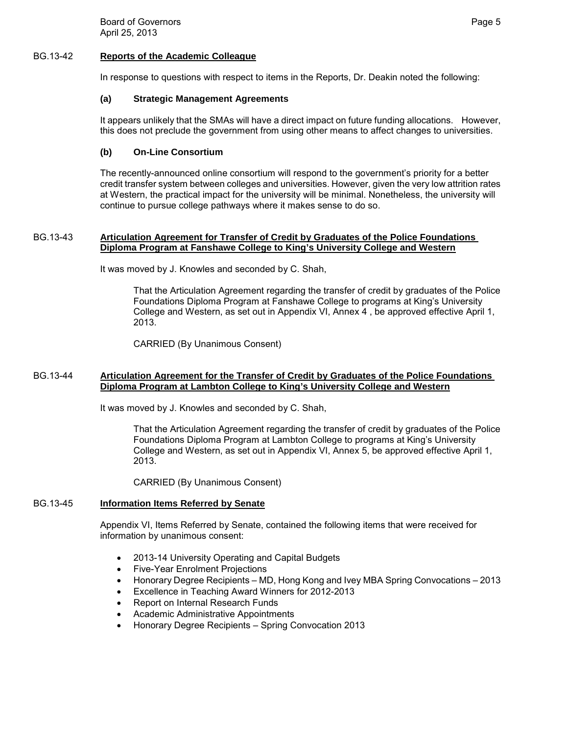Board of Governors **Page 5** and the Board of Governors **Page 5** April 25, 2013

#### BG.13-42 **Reports of the Academic Colleague**

In response to questions with respect to items in the Reports, Dr. Deakin noted the following:

#### **(a) Strategic Management Agreements**

It appears unlikely that the SMAs will have a direct impact on future funding allocations. However, this does not preclude the government from using other means to affect changes to universities.

# **(b) On-Line Consortium**

The recently-announced online consortium will respond to the government's priority for a better credit transfer system between colleges and universities. However, given the very low attrition rates at Western, the practical impact for the university will be minimal. Nonetheless, the university will continue to pursue college pathways where it makes sense to do so.

#### BG.13-43 **Articulation Agreement for Transfer of Credit by Graduates of the Police Foundations Diploma Program at Fanshawe College to King's University College and Western**

It was moved by J. Knowles and seconded by C. Shah,

That the Articulation Agreement regarding the transfer of credit by graduates of the Police Foundations Diploma Program at Fanshawe College to programs at King's University College and Western, as set out in Appendix VI, Annex 4 , be approved effective April 1, 2013.

CARRIED (By Unanimous Consent)

# BG.13-44 **Articulation Agreement for the Transfer of Credit by Graduates of the Police Foundations Diploma Program at Lambton College to King's University College and Western**

It was moved by J. Knowles and seconded by C. Shah,

That the Articulation Agreement regarding the transfer of credit by graduates of the Police Foundations Diploma Program at Lambton College to programs at King's University College and Western, as set out in Appendix VI, Annex 5, be approved effective April 1, 2013.

CARRIED (By Unanimous Consent)

#### BG.13-45 **Information Items Referred by Senate**

Appendix VI, Items Referred by Senate, contained the following items that were received for information by unanimous consent:

- 2013-14 University Operating and Capital Budgets
- Five-Year Enrolment Projections
- Honorary Degree Recipients MD, Hong Kong and Ivey MBA Spring Convocations 2013
- Excellence in Teaching Award Winners for 2012-2013
- Report on Internal Research Funds
- Academic Administrative Appointments
- Honorary Degree Recipients Spring Convocation 2013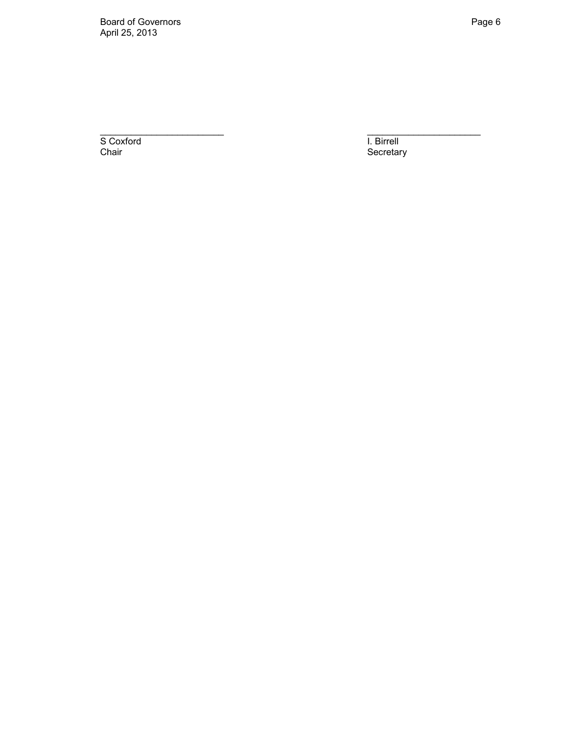Board of Governors **Page 6** April 25, 2013

S Coxford **I. Birrell** Chair **Chair** Secretary **Chair** Secretary

 $\overline{\phantom{a}}$  , and the contract of the contract of the contract of the contract of the contract of the contract of the contract of the contract of the contract of the contract of the contract of the contract of the contrac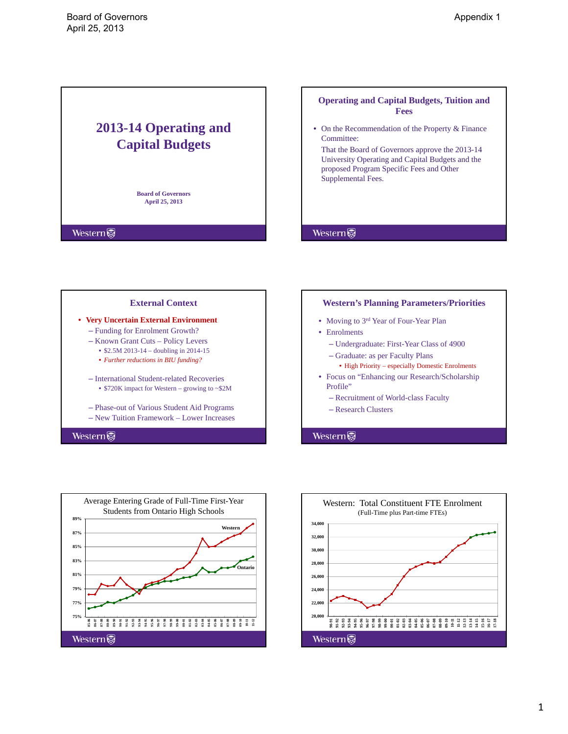# <span id="page-6-0"></span>**2013-14 Operating and Capital Budgets**

**Board of Governors April 25, 2013**

**Western** 

# **Operating and Capital Budgets, Tuition and Fees** • On the Recommendation of the Property & Finance Committee: That the Board of Governors approve the 2013-14 University Operating and Capital Budgets and the proposed Program Specific Fees and Other Supplemental Fees.





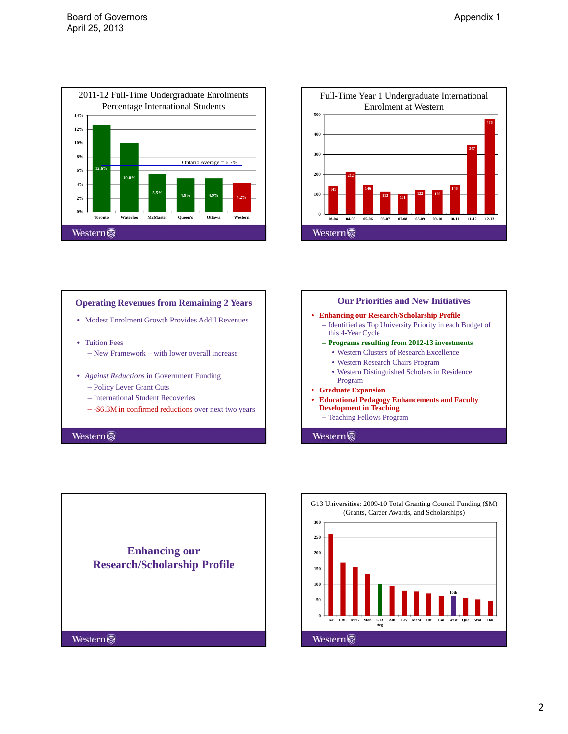



# **Operating Revenues from Remaining 2 Years** • Modest Enrolment Growth Provides Add'l Revenues • Tuition Fees – New Framework – with lower overall increase • *Against Reductions* in Government Funding – Policy Lever Grant Cuts – International Student Recoveries – -\$6.3M in confirmed reductions over next two years





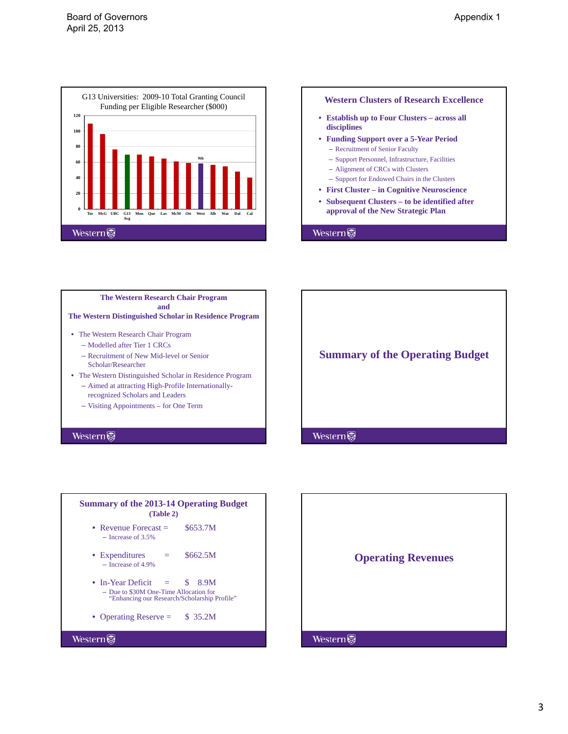









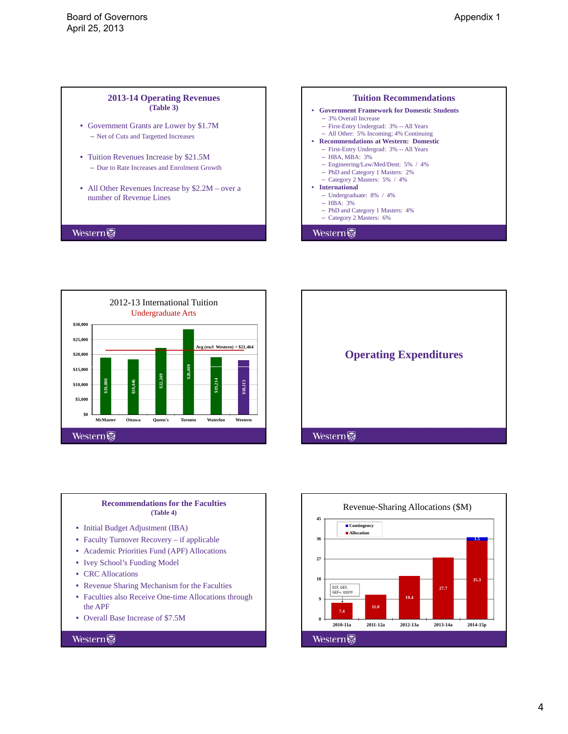#### **2013-14 Operating Revenues (Table 3)**

- Government Grants are Lower by \$1.7M – Net of Cuts and Targetted Increases
- Tuition Revenues Increase by \$21.5M – Due to Rate Increases and Enrolment Growth
- All Other Revenues Increase by \$2.2M over a number of Revenue Lines

#### Western



2012-13 International Tuition Undergraduate Arts **\$30,000 \$25,000 Avg (excl Western) = \$21,464 \$20,000 \$15,000 9\$28,40 \$22,249 \$19,214 \$18,113 \$19,000 \$18,446 \$10,000 \$5,000 \$0 McMaster Ottawa Queen's Toronto Waterloo Western Western** 



#### **Recommendations for the Faculties (Table 4)**

- Initial Budget Adjustment (IBA)
- Faculty Turnover Recovery if applicable
- Academic Priorities Fund (APF) Allocations
- Ivey School's Funding Model
- CRC Allocations
- Revenue Sharing Mechanism for the Faculties
- Faculties also Receive One-time Allocations through the APF
- Overall Base Increase of \$7.5M